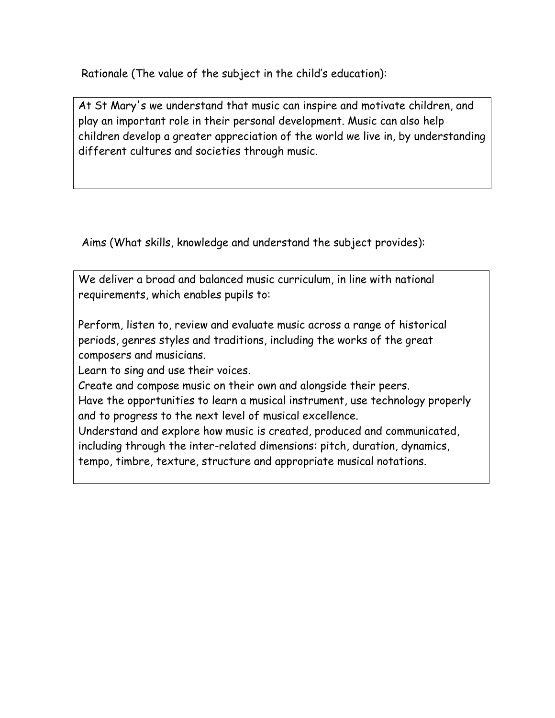Rationale (The value of the subject in the child's education):

At St Mary's we understand that music can inspire and motivate children, and play an important role in their personal development. Music can also help children develop a greater appreciation of the world we live in, by understanding different cultures and societies through music.

Aims (What skills, knowledge and understand the subject provides):

We deliver a broad and balanced music curriculum, in line with national requirements, which enables pupils to:

Perform, listen to, review and evaluate music across a range of historical periods, genres styles and traditions, including the works of the great composers and musicians.

Learn to sing and use their voices.

Create and compose music on their own and alongside their peers.

Have the opportunities to learn a musical instrument, use technology properly and to progress to the next level of musical excellence.

Understand and explore how music is created, produced and communicated, including through the inter-related dimensions: pitch, duration, dynamics,

tempo, timbre, texture, structure and appropriate musical notations.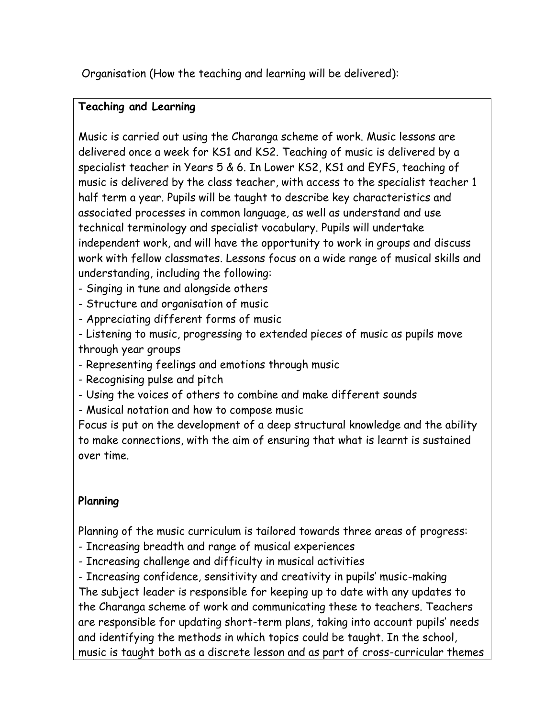Organisation (How the teaching and learning will be delivered):

### **Teaching and Learning**

Music is carried out using the Charanga scheme of work. Music lessons are delivered once a week for KS1 and KS2. Teaching of music is delivered by a specialist teacher in Years 5 & 6. In Lower KS2, KS1 and EYFS, teaching of music is delivered by the class teacher, with access to the specialist teacher 1 half term a year. Pupils will be taught to describe key characteristics and associated processes in common language, as well as understand and use technical terminology and specialist vocabulary. Pupils will undertake independent work, and will have the opportunity to work in groups and discuss work with fellow classmates. Lessons focus on a wide range of musical skills and understanding, including the following:

- Singing in tune and alongside others

- Structure and organisation of music

- Appreciating different forms of music

- Listening to music, progressing to extended pieces of music as pupils move through year groups

- Representing feelings and emotions through music

- Recognising pulse and pitch

- Using the voices of others to combine and make different sounds

- Musical notation and how to compose music

Focus is put on the development of a deep structural knowledge and the ability to make connections, with the aim of ensuring that what is learnt is sustained over time.

## **Planning**

Planning of the music curriculum is tailored towards three areas of progress:

- Increasing breadth and range of musical experiences

- Increasing challenge and difficulty in musical activities

- Increasing confidence, sensitivity and creativity in pupils' music-making The subject leader is responsible for keeping up to date with any updates to the Charanga scheme of work and communicating these to teachers. Teachers are responsible for updating short-term plans, taking into account pupils' needs and identifying the methods in which topics could be taught. In the school, music is taught both as a discrete lesson and as part of cross-curricular themes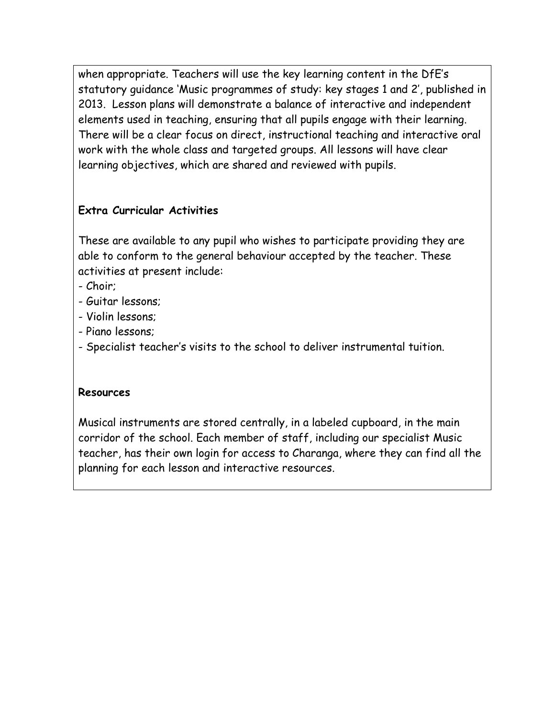when appropriate. Teachers will use the key learning content in the DfE's statutory guidance 'Music programmes of study: key stages 1 and 2', published in 2013. Lesson plans will demonstrate a balance of interactive and independent elements used in teaching, ensuring that all pupils engage with their learning. There will be a clear focus on direct, instructional teaching and interactive oral work with the whole class and targeted groups. All lessons will have clear learning objectives, which are shared and reviewed with pupils.

## **Extra Curricular Activities**

These are available to any pupil who wishes to participate providing they are able to conform to the general behaviour accepted by the teacher. These activities at present include:

- Choir;
- Guitar lessons;
- Violin lessons;
- Piano lessons;
- Specialist teacher's visits to the school to deliver instrumental tuition.

#### **Resources**

Musical instruments are stored centrally, in a labeled cupboard, in the main corridor of the school. Each member of staff, including our specialist Music teacher, has their own login for access to Charanga, where they can find all the planning for each lesson and interactive resources.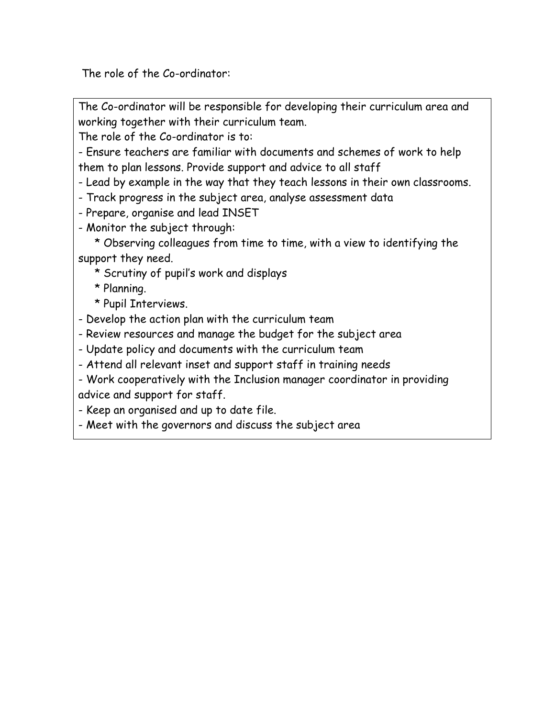The role of the Co-ordinator:

The Co-ordinator will be responsible for developing their curriculum area and working together with their curriculum team.

The role of the Co-ordinator is to:

- Ensure teachers are familiar with documents and schemes of work to help them to plan lessons. Provide support and advice to all staff

- Lead by example in the way that they teach lessons in their own classrooms.

- Track progress in the subject area, analyse assessment data

- Prepare, organise and lead INSET

- Monitor the subject through:

 \* Observing colleagues from time to time, with a view to identifying the support they need.

\* Scrutiny of pupil's work and displays

\* Planning.

\* Pupil Interviews.

- Develop the action plan with the curriculum team

- Review resources and manage the budget for the subject area

- Update policy and documents with the curriculum team

- Attend all relevant inset and support staff in training needs

- Work cooperatively with the Inclusion manager coordinator in providing advice and support for staff.

- Keep an organised and up to date file.

- Meet with the governors and discuss the subject area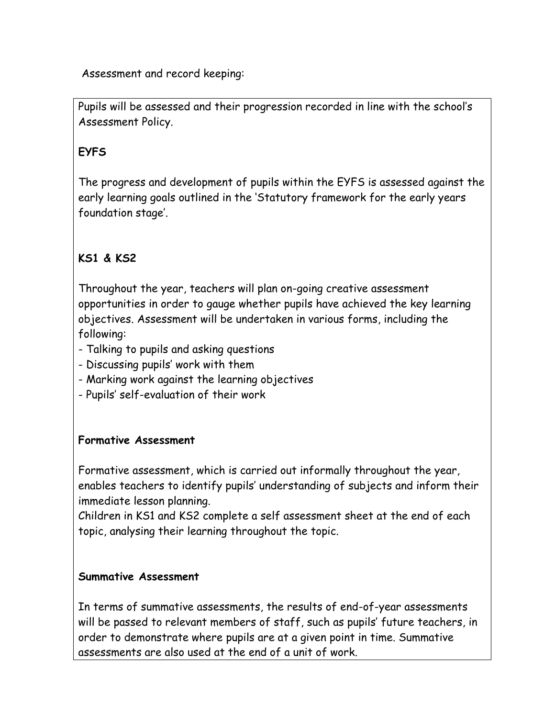Assessment and record keeping:

Pupils will be assessed and their progression recorded in line with the school's Assessment Policy.

## **EYFS**

The progress and development of pupils within the EYFS is assessed against the early learning goals outlined in the 'Statutory framework for the early years foundation stage'.

# **KS1 & KS2**

Throughout the year, teachers will plan on-going creative assessment opportunities in order to gauge whether pupils have achieved the key learning objectives. Assessment will be undertaken in various forms, including the following:

- Talking to pupils and asking questions
- Discussing pupils' work with them
- Marking work against the learning objectives
- Pupils' self-evaluation of their work

### **Formative Assessment**

Formative assessment, which is carried out informally throughout the year, enables teachers to identify pupils' understanding of subjects and inform their immediate lesson planning.

Children in KS1 and KS2 complete a self assessment sheet at the end of each topic, analysing their learning throughout the topic.

### **Summative Assessment**

In terms of summative assessments, the results of end-of-year assessments will be passed to relevant members of staff, such as pupils' future teachers, in order to demonstrate where pupils are at a given point in time. Summative assessments are also used at the end of a unit of work.